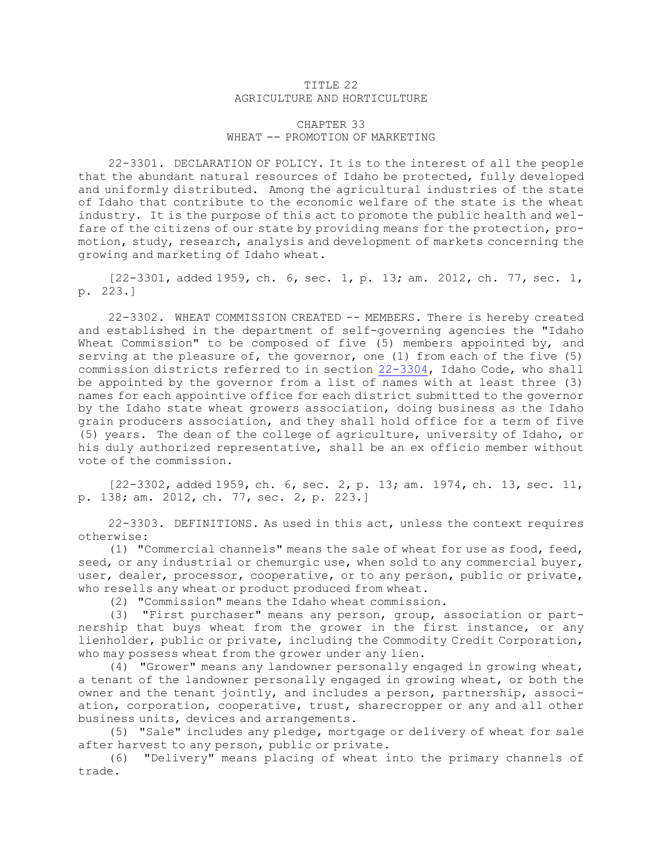## TITLE 22 AGRICULTURE AND HORTICULTURE

## CHAPTER 33 WHEAT -- PROMOTION OF MARKETING

22-3301. DECLARATION OF POLICY. It is to the interest of all the people that the abundant natural resources of Idaho be protected, fully developed and uniformly distributed. Among the agricultural industries of the state of Idaho that contribute to the economic welfare of the state is the wheat industry. It is the purpose of this act to promote the public health and welfare of the citizens of our state by providing means for the protection, promotion, study, research, analysis and development of markets concerning the growing and marketing of Idaho wheat.

[22-3301, added 1959, ch. 6, sec. 1, p. 13; am. 2012, ch. 77, sec. 1, p. 223.]

22-3302. WHEAT COMMISSION CREATED -- MEMBERS. There is hereby created and established in the department of self-governing agencies the "Idaho Wheat Commission" to be composed of five (5) members appointed by, and serving at the pleasure of, the governor, one (1) from each of the five  $(5)$ commission districts referred to in section [22-3304](https://legislature.idaho.gov/statutesrules/idstat/Title22/T22CH33/SECT22-3304), Idaho Code, who shall be appointed by the governor from <sup>a</sup> list of names with at least three (3) names for each appointive office for each district submitted to the governor by the Idaho state wheat growers association, doing business as the Idaho grain producers association, and they shall hold office for <sup>a</sup> term of five (5) years. The dean of the college of agriculture, university of Idaho, or his duly authorized representative, shall be an ex officio member without vote of the commission.

[22-3302, added 1959, ch. 6, sec. 2, p. 13; am. 1974, ch. 13, sec. 11, p. 138; am. 2012, ch. 77, sec. 2, p. 223.]

22-3303. DEFINITIONS. As used in this act, unless the context requires otherwise:

(1) "Commercial channels" means the sale of wheat for use as food, feed, seed, or any industrial or chemurgic use, when sold to any commercial buyer, user, dealer, processor, cooperative, or to any person, public or private, who resells any wheat or product produced from wheat.

(2) "Commission" means the Idaho wheat commission.

(3) "First purchaser" means any person, group, association or partnership that buys wheat from the grower in the first instance, or any lienholder, public or private, including the Commodity Credit Corporation, who may possess wheat from the grower under any lien.

(4) "Grower" means any landowner personally engaged in growing wheat, <sup>a</sup> tenant of the landowner personally engaged in growing wheat, or both the owner and the tenant jointly, and includes <sup>a</sup> person, partnership, association, corporation, cooperative, trust, sharecropper or any and all other business units, devices and arrangements.

(5) "Sale" includes any pledge, mortgage or delivery of wheat for sale after harvest to any person, public or private.

(6) "Delivery" means placing of wheat into the primary channels of trade.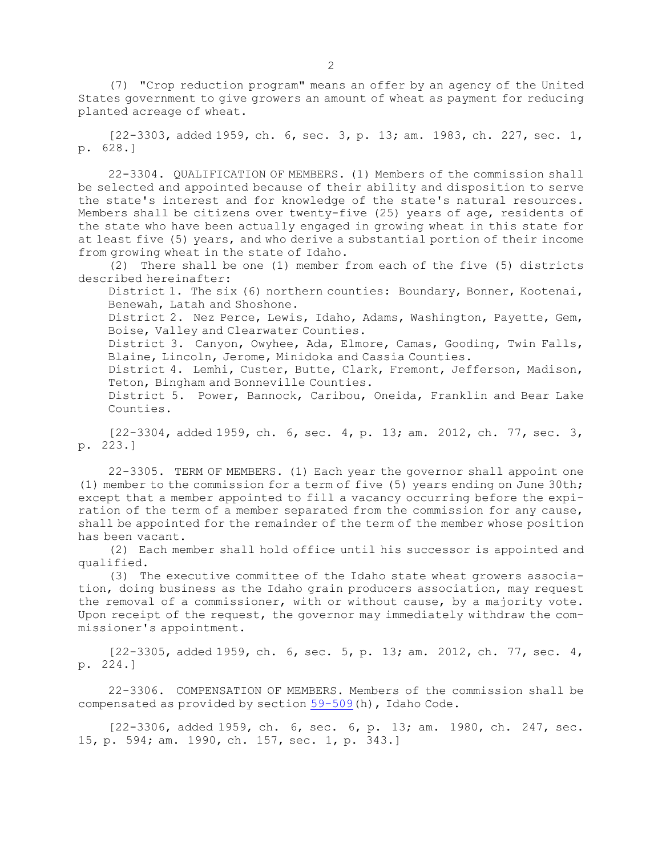(7) "Crop reduction program" means an offer by an agency of the United States government to give growers an amount of wheat as payment for reducing planted acreage of wheat.

[22-3303, added 1959, ch. 6, sec. 3, p. 13; am. 1983, ch. 227, sec. 1, p. 628.]

22-3304. QUALIFICATION OF MEMBERS. (1) Members of the commission shall be selected and appointed because of their ability and disposition to serve the state's interest and for knowledge of the state's natural resources. Members shall be citizens over twenty-five (25) years of age, residents of the state who have been actually engaged in growing wheat in this state for at least five (5) years, and who derive <sup>a</sup> substantial portion of their income from growing wheat in the state of Idaho.

(2) There shall be one (1) member from each of the five (5) districts described hereinafter:

District 1. The six (6) northern counties: Boundary, Bonner, Kootenai, Benewah, Latah and Shoshone.

District 2. Nez Perce, Lewis, Idaho, Adams, Washington, Payette, Gem, Boise, Valley and Clearwater Counties.

District 3. Canyon, Owyhee, Ada, Elmore, Camas, Gooding, Twin Falls, Blaine, Lincoln, Jerome, Minidoka and Cassia Counties.

District 4. Lemhi, Custer, Butte, Clark, Fremont, Jefferson, Madison, Teton, Bingham and Bonneville Counties.

District 5. Power, Bannock, Caribou, Oneida, Franklin and Bear Lake Counties.

[22-3304, added 1959, ch. 6, sec. 4, p. 13; am. 2012, ch. 77, sec. 3, p. 223.]

22-3305. TERM OF MEMBERS. (1) Each year the governor shall appoint one (1) member to the commission for <sup>a</sup> term of five (5) years ending on June 30th; except that <sup>a</sup> member appointed to fill <sup>a</sup> vacancy occurring before the expiration of the term of <sup>a</sup> member separated from the commission for any cause, shall be appointed for the remainder of the term of the member whose position has been vacant.

(2) Each member shall hold office until his successor is appointed and qualified.

(3) The executive committee of the Idaho state wheat growers association, doing business as the Idaho grain producers association, may request the removal of <sup>a</sup> commissioner, with or without cause, by <sup>a</sup> majority vote. Upon receipt of the request, the governor may immediately withdraw the commissioner's appointment.

[22-3305, added 1959, ch. 6, sec. 5, p. 13; am. 2012, ch. 77, sec. 4, p. 224.]

22-3306. COMPENSATION OF MEMBERS. Members of the commission shall be compensated as provided by section [59-509](https://legislature.idaho.gov/statutesrules/idstat/Title59/T59CH5/SECT59-509)(h), Idaho Code.

[22-3306, added 1959, ch. 6, sec. 6, p. 13; am. 1980, ch. 247, sec. 15, p. 594; am. 1990, ch. 157, sec. 1, p. 343.]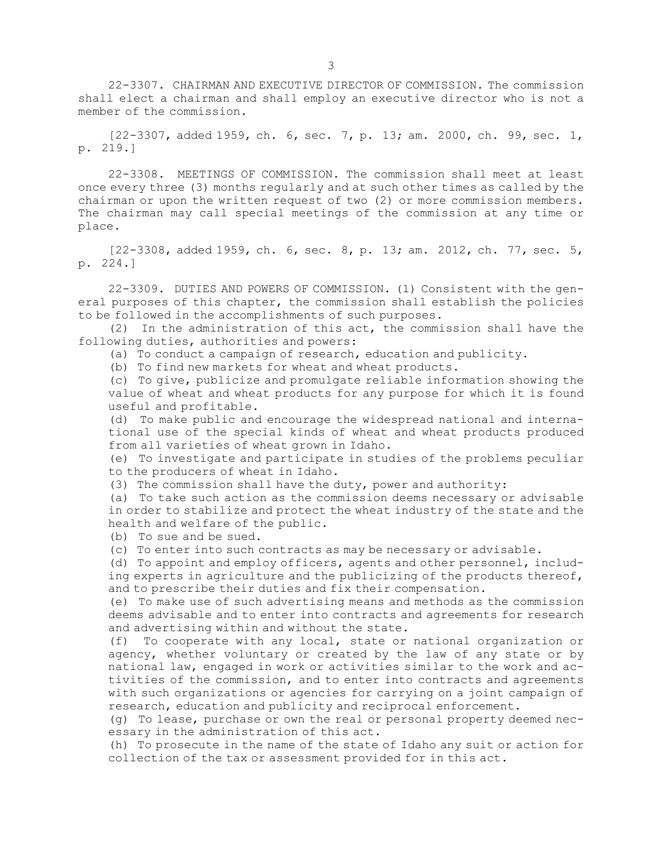22-3307. CHAIRMAN AND EXECUTIVE DIRECTOR OF COMMISSION. The commission shall elect <sup>a</sup> chairman and shall employ an executive director who is not <sup>a</sup> member of the commission.

[22-3307, added 1959, ch. 6, sec. 7, p. 13; am. 2000, ch. 99, sec. 1, p. 219.]

22-3308. MEETINGS OF COMMISSION. The commission shall meet at least once every three (3) months regularly and at such other times as called by the chairman or upon the written request of two (2) or more commission members. The chairman may call special meetings of the commission at any time or place.

[22-3308, added 1959, ch. 6, sec. 8, p. 13; am. 2012, ch. 77, sec. 5, p. 224.]

22-3309. DUTIES AND POWERS OF COMMISSION. (1) Consistent with the general purposes of this chapter, the commission shall establish the policies to be followed in the accomplishments of such purposes.

(2) In the administration of this act, the commission shall have the following duties, authorities and powers:

(a) To conduct <sup>a</sup> campaign of research, education and publicity.

(b) To find new markets for wheat and wheat products.

(c) To give, publicize and promulgate reliable information showing the value of wheat and wheat products for any purpose for which it is found useful and profitable.

(d) To make public and encourage the widespread national and international use of the special kinds of wheat and wheat products produced from all varieties of wheat grown in Idaho.

(e) To investigate and participate in studies of the problems peculiar to the producers of wheat in Idaho.

(3) The commission shall have the duty, power and authority:

(a) To take such action as the commission deems necessary or advisable in order to stabilize and protect the wheat industry of the state and the health and welfare of the public.

(b) To sue and be sued.

(c) To enter into such contracts as may be necessary or advisable.

(d) To appoint and employ officers, agents and other personnel, including experts in agriculture and the publicizing of the products thereof, and to prescribe their duties and fix their compensation.

(e) To make use of such advertising means and methods as the commission deems advisable and to enter into contracts and agreements for research and advertising within and without the state.

(f) To cooperate with any local, state or national organization or agency, whether voluntary or created by the law of any state or by national law, engaged in work or activities similar to the work and activities of the commission, and to enter into contracts and agreements with such organizations or agencies for carrying on <sup>a</sup> joint campaign of research, education and publicity and reciprocal enforcement.

(g) To lease, purchase or own the real or personal property deemed necessary in the administration of this act.

(h) To prosecute in the name of the state of Idaho any suit or action for collection of the tax or assessment provided for in this act.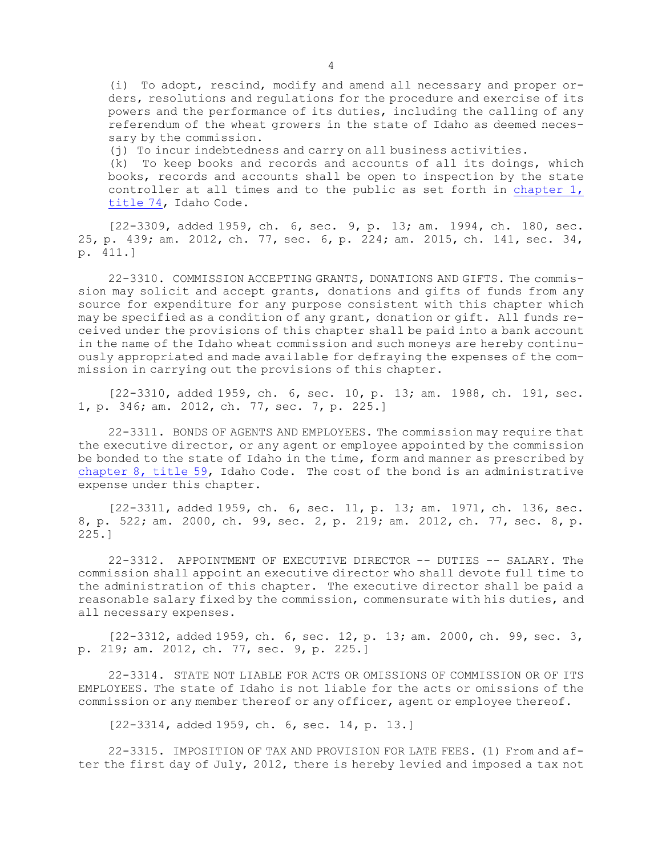(i) To adopt, rescind, modify and amend all necessary and proper orders, resolutions and regulations for the procedure and exercise of its powers and the performance of its duties, including the calling of any referendum of the wheat growers in the state of Idaho as deemed necessary by the commission.

(j) To incur indebtedness and carry on all business activities.

(k) To keep books and records and accounts of all its doings, which books, records and accounts shall be open to inspection by the state controller at all times and to the public as set forth in [chapter](https://legislature.idaho.gov/statutesrules/idstat/Title74/T74CH1) 1, [title](https://legislature.idaho.gov/statutesrules/idstat/Title74/T74CH1) 74, Idaho Code.

[22-3309, added 1959, ch. 6, sec. 9, p. 13; am. 1994, ch. 180, sec. 25, p. 439; am. 2012, ch. 77, sec. 6, p. 224; am. 2015, ch. 141, sec. 34, p. 411.]

22-3310. COMMISSION ACCEPTING GRANTS, DONATIONS AND GIFTS. The commission may solicit and accept grants, donations and gifts of funds from any source for expenditure for any purpose consistent with this chapter which may be specified as <sup>a</sup> condition of any grant, donation or gift. All funds received under the provisions of this chapter shall be paid into <sup>a</sup> bank account in the name of the Idaho wheat commission and such moneys are hereby continuously appropriated and made available for defraying the expenses of the commission in carrying out the provisions of this chapter.

[22-3310, added 1959, ch. 6, sec. 10, p. 13; am. 1988, ch. 191, sec. 1, p. 346; am. 2012, ch. 77, sec. 7, p. 225.]

22-3311. BONDS OF AGENTS AND EMPLOYEES. The commission may require that the executive director, or any agent or employee appointed by the commission be bonded to the state of Idaho in the time, form and manner as prescribed by [chapter](https://legislature.idaho.gov/statutesrules/idstat/Title59/T59CH8) 8, title 59, Idaho Code. The cost of the bond is an administrative expense under this chapter.

[22-3311, added 1959, ch. 6, sec. 11, p. 13; am. 1971, ch. 136, sec. 8, p. 522; am. 2000, ch. 99, sec. 2, p. 219; am. 2012, ch. 77, sec. 8, p. 225.]

22-3312. APPOINTMENT OF EXECUTIVE DIRECTOR -- DUTIES -- SALARY. The commission shall appoint an executive director who shall devote full time to the administration of this chapter. The executive director shall be paid <sup>a</sup> reasonable salary fixed by the commission, commensurate with his duties, and all necessary expenses.

[22-3312, added 1959, ch. 6, sec. 12, p. 13; am. 2000, ch. 99, sec. 3, p. 219; am. 2012, ch. 77, sec. 9, p. 225.]

22-3314. STATE NOT LIABLE FOR ACTS OR OMISSIONS OF COMMISSION OR OF ITS EMPLOYEES. The state of Idaho is not liable for the acts or omissions of the commission or any member thereof or any officer, agent or employee thereof.

[22-3314, added 1959, ch. 6, sec. 14, p. 13.]

22-3315. IMPOSITION OF TAX AND PROVISION FOR LATE FEES. (1) From and after the first day of July, 2012, there is hereby levied and imposed <sup>a</sup> tax not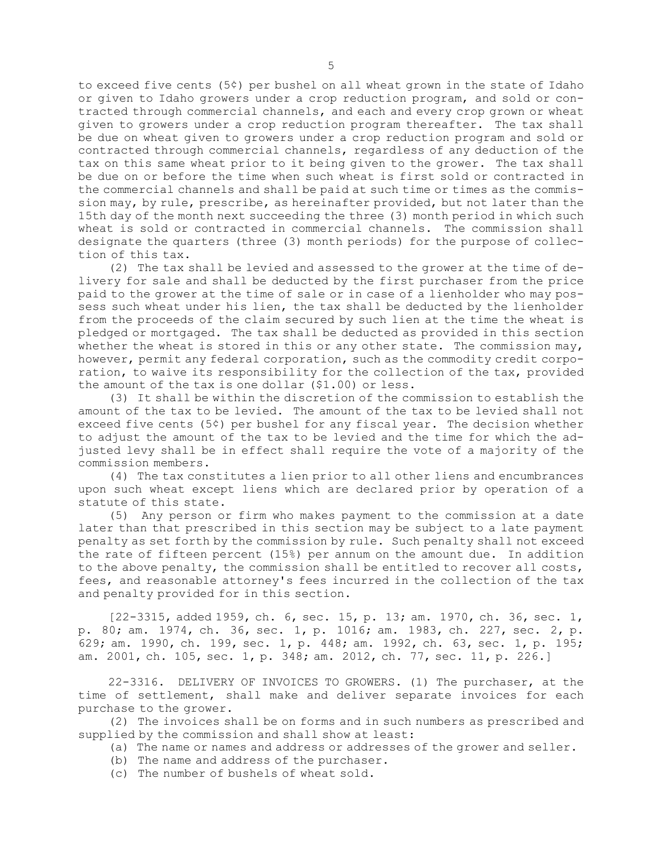to exceed five cents (5¢) per bushel on all wheat grown in the state of Idaho or given to Idaho growers under <sup>a</sup> crop reduction program, and sold or contracted through commercial channels, and each and every crop grown or wheat given to growers under <sup>a</sup> crop reduction program thereafter. The tax shall be due on wheat given to growers under <sup>a</sup> crop reduction program and sold or contracted through commercial channels, regardless of any deduction of the tax on this same wheat prior to it being given to the grower. The tax shall be due on or before the time when such wheat is first sold or contracted in the commercial channels and shall be paid at such time or times as the commission may, by rule, prescribe, as hereinafter provided, but not later than the 15th day of the month next succeeding the three (3) month period in which such wheat is sold or contracted in commercial channels. The commission shall designate the quarters (three (3) month periods) for the purpose of collection of this tax.

(2) The tax shall be levied and assessed to the grower at the time of delivery for sale and shall be deducted by the first purchaser from the price paid to the grower at the time of sale or in case of <sup>a</sup> lienholder who may possess such wheat under his lien, the tax shall be deducted by the lienholder from the proceeds of the claim secured by such lien at the time the wheat is pledged or mortgaged. The tax shall be deducted as provided in this section whether the wheat is stored in this or any other state. The commission may, however, permit any federal corporation, such as the commodity credit corporation, to waive its responsibility for the collection of the tax, provided the amount of the tax is one dollar (\$1.00) or less.

(3) It shall be within the discretion of the commission to establish the amount of the tax to be levied. The amount of the tax to be levied shall not exceed five cents (5¢) per bushel for any fiscal year. The decision whether to adjust the amount of the tax to be levied and the time for which the adjusted levy shall be in effect shall require the vote of <sup>a</sup> majority of the commission members.

(4) The tax constitutes <sup>a</sup> lien prior to all other liens and encumbrances upon such wheat except liens which are declared prior by operation of <sup>a</sup> statute of this state.

(5) Any person or firm who makes payment to the commission at <sup>a</sup> date later than that prescribed in this section may be subject to <sup>a</sup> late payment penalty as set forth by the commission by rule. Such penalty shall not exceed the rate of fifteen percent (15%) per annum on the amount due. In addition to the above penalty, the commission shall be entitled to recover all costs, fees, and reasonable attorney's fees incurred in the collection of the tax and penalty provided for in this section.

[22-3315, added 1959, ch. 6, sec. 15, p. 13; am. 1970, ch. 36, sec. 1, p. 80; am. 1974, ch. 36, sec. 1, p. 1016; am. 1983, ch. 227, sec. 2, p. 629; am. 1990, ch. 199, sec. 1, p. 448; am. 1992, ch. 63, sec. 1, p. 195; am. 2001, ch. 105, sec. 1, p. 348; am. 2012, ch. 77, sec. 11, p. 226.]

22-3316. DELIVERY OF INVOICES TO GROWERS. (1) The purchaser, at the time of settlement, shall make and deliver separate invoices for each purchase to the grower.

(2) The invoices shall be on forms and in such numbers as prescribed and supplied by the commission and shall show at least:

- (a) The name or names and address or addresses of the grower and seller.
- (b) The name and address of the purchaser.
- (c) The number of bushels of wheat sold.